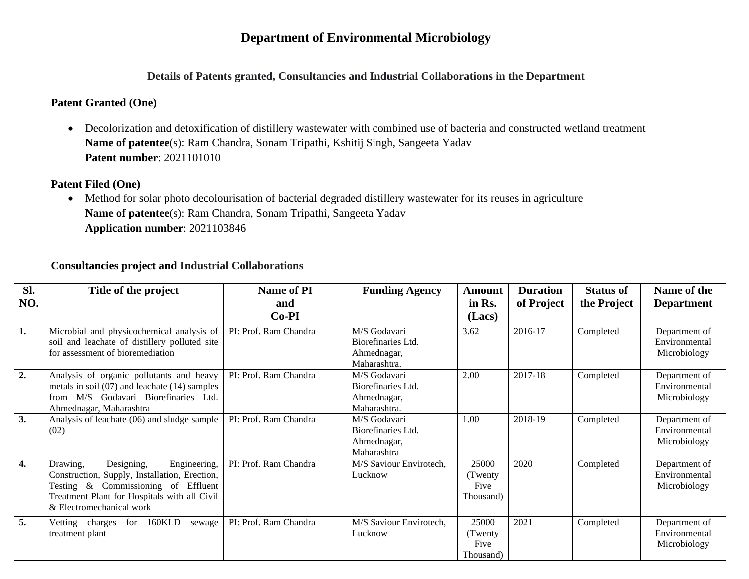# **Department of Environmental Microbiology**

## **Details of Patents granted, Consultancies and Industrial Collaborations in the Department**

## **Patent Granted (One)**

• Decolorization and detoxification of distillery wastewater with combined use of bacteria and constructed wetland treatment **Name of patentee**(s): Ram Chandra, Sonam Tripathi, Kshitij Singh, Sangeeta Yadav **Patent number**: 2021101010

## **Patent Filed (One)**

• Method for solar photo decolourisation of bacterial degraded distillery wastewater for its reuses in agriculture **Name of patentee**(s): Ram Chandra, Sonam Tripathi, Sangeeta Yadav **Application number**: 2021103846

## **Consultancies project and Industrial Collaborations**

| Sl.              | Title of the project                                                                                                                                                                                       | <b>Name of PI</b>     | <b>Funding Agency</b>                                             | <b>Amount</b>                          | <b>Duration</b> | <b>Status of</b> | Name of the                                    |
|------------------|------------------------------------------------------------------------------------------------------------------------------------------------------------------------------------------------------------|-----------------------|-------------------------------------------------------------------|----------------------------------------|-----------------|------------------|------------------------------------------------|
| NO.              |                                                                                                                                                                                                            | and                   |                                                                   | in Rs.                                 | of Project      | the Project      | <b>Department</b>                              |
|                  |                                                                                                                                                                                                            | $Co-PI$               |                                                                   | (Lacs)                                 |                 |                  |                                                |
| 1.               | Microbial and physicochemical analysis of<br>soil and leachate of distillery polluted site<br>for assessment of bioremediation                                                                             | PI: Prof. Ram Chandra | M/S Godavari<br>Biorefinaries Ltd.<br>Ahmednagar,<br>Maharashtra. | 3.62                                   | 2016-17         | Completed        | Department of<br>Environmental<br>Microbiology |
| $\overline{2}$ . | Analysis of organic pollutants and heavy<br>metals in soil $(07)$ and leachate $(14)$ samples<br>from M/S Godavari Biorefinaries Ltd.<br>Ahmednagar, Maharashtra                                           | PI: Prof. Ram Chandra | M/S Godavari<br>Biorefinaries Ltd.<br>Ahmednagar,<br>Maharashtra. | 2.00                                   | 2017-18         | Completed        | Department of<br>Environmental<br>Microbiology |
| 3.               | Analysis of leachate (06) and sludge sample<br>(02)                                                                                                                                                        | PI: Prof. Ram Chandra | M/S Godavari<br>Biorefinaries Ltd.<br>Ahmednagar,<br>Maharashtra  | 1.00                                   | 2018-19         | Completed        | Department of<br>Environmental<br>Microbiology |
| $\overline{4}$ . | Drawing,<br>Designing,<br>Engineering,<br>Construction, Supply, Installation, Erection,<br>Testing & Commissioning of Effluent<br>Treatment Plant for Hospitals with all Civil<br>& Electromechanical work | PI: Prof. Ram Chandra | M/S Saviour Envirotech,<br>Lucknow                                | 25000<br>(Twenty)<br>Five<br>Thousand) | 2020            | Completed        | Department of<br>Environmental<br>Microbiology |
| 5.               | 160KLD<br>Vetting charges for<br>sewage<br>treatment plant                                                                                                                                                 | PI: Prof. Ram Chandra | M/S Saviour Envirotech,<br>Lucknow                                | 25000<br>(Twenty)<br>Five<br>Thousand) | 2021            | Completed        | Department of<br>Environmental<br>Microbiology |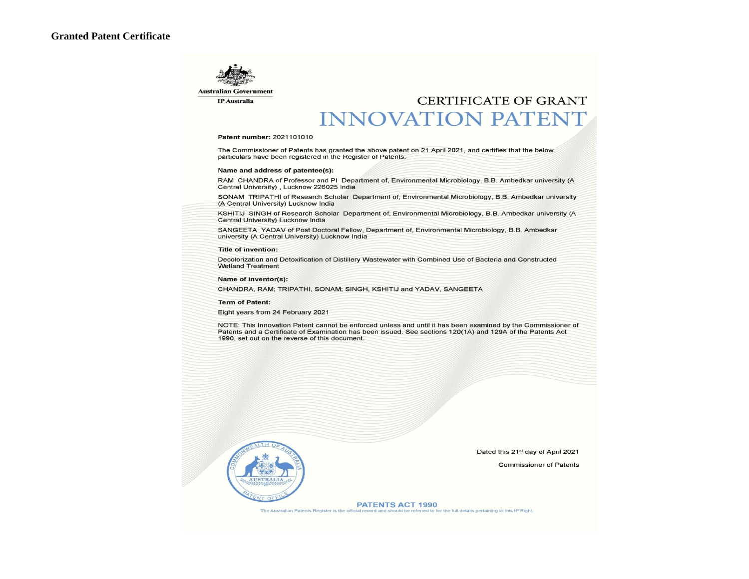

**IP** Australia

# CERTIFICATE OF GRANT **INNOVATION PATENT**

#### Patent number: 2021101010

The Commissioner of Patents has granted the above patent on 21 April 2021, and certifies that the below particulars have been registered in the Register of Patents.

#### Name and address of patentee(s):

RAM CHANDRA of Professor and PI Department of, Environmental Microbiology, B.B. Ambedkar university (A Central University), Lucknow 226025 India

SONAM TRIPATHI of Research Scholar Department of, Environmental Microbiology, B.B. Ambedkar university (A Central University) Lucknow India

KSHITIJ SINGH of Research Scholar Department of, Environmental Microbiology, B.B. Ambedkar university (A Central University) Lucknow India

SANGEETA YADAV of Post Doctoral Fellow, Department of, Environmental Microbiology, B.B. Ambedkar university (A Central University) Lucknow India

#### **Title of invention:**

Decolorization and Detoxification of Distillery Wastewater with Combined Use of Bacteria and Constructed **Wetland Treatment** 

Name of inventor(s):

CHANDRA, RAM; TRIPATHI, SONAM; SINGH, KSHITIJ and YADAV, SANGEETA

**Term of Patent:** 

Eight years from 24 February 2021

NOTE: This Innovation Patent cannot be enforced unless and until it has been examined by the Commissioner of Patents and a Certificate of Examination has been issued. See sections 120(1A) and 129A of the Patents Act 1990, set out on the reverse of this document.



Dated this 21st day of April 2021

**Commissioner of Patents** 

**PATENTS ACT 1990** ed to for the full details pertaining to this IP Right. The Australian Patents Register is the office